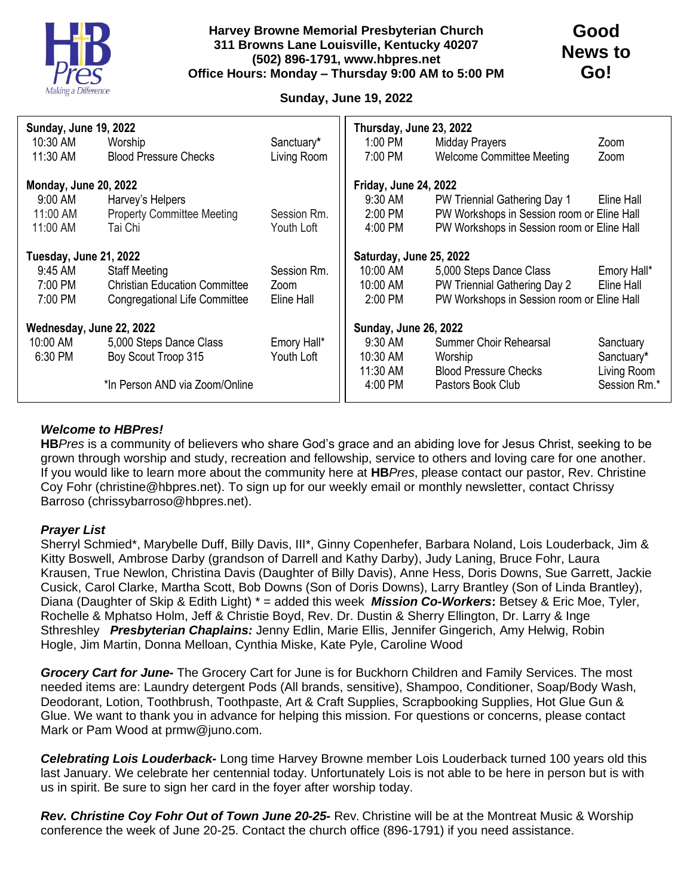

## **Sunday, June 19, 2022**

| <b>Sunday, June 19, 2022</b> |                                      |             | Thursday, June 23, 2022      |                                            |              |
|------------------------------|--------------------------------------|-------------|------------------------------|--------------------------------------------|--------------|
| 10:30 AM                     | Worship                              | Sanctuary*  | 1:00 PM                      | Midday Prayers                             | Zoom         |
| 11:30 AM                     | <b>Blood Pressure Checks</b>         | Living Room | 7:00 PM                      | <b>Welcome Committee Meeting</b>           | Zoom         |
| <b>Monday, June 20, 2022</b> |                                      |             | <b>Friday, June 24, 2022</b> |                                            |              |
|                              |                                      |             |                              |                                            |              |
| 9:00 AM                      | Harvey's Helpers                     |             | $9:30$ AM                    | PW Triennial Gathering Day 1               | Eline Hall   |
| 11:00 AM                     | <b>Property Committee Meeting</b>    | Session Rm. | 2:00 PM                      | PW Workshops in Session room or Eline Hall |              |
| 11:00 AM                     | Tai Chi                              | Youth Loft  | 4:00 PM                      | PW Workshops in Session room or Eline Hall |              |
|                              |                                      |             | Saturday, June 25, 2022      |                                            |              |
| Tuesday, June 21, 2022       |                                      |             |                              |                                            |              |
| 9:45 AM                      | <b>Staff Meeting</b>                 | Session Rm. | 10:00 AM                     | 5,000 Steps Dance Class                    | Emory Hall*  |
| 7:00 PM                      | <b>Christian Education Committee</b> | Zoom        | 10:00 AM                     | PW Triennial Gathering Day 2               | Eline Hall   |
| 7:00 PM                      | <b>Congregational Life Committee</b> | Eline Hall  | 2:00 PM                      | PW Workshops in Session room or Eline Hall |              |
|                              |                                      |             |                              |                                            |              |
| Wednesday, June 22, 2022     |                                      |             | <b>Sunday, June 26, 2022</b> |                                            |              |
| 10:00 AM                     | 5,000 Steps Dance Class              | Emory Hall* | $9:30$ AM                    | Summer Choir Rehearsal                     | Sanctuary    |
| 6:30 PM                      | Boy Scout Troop 315                  | Youth Loft  | 10:30 AM                     | Worship                                    | Sanctuary*   |
|                              |                                      |             | 11:30 AM                     | <b>Blood Pressure Checks</b>               | Living Room  |
|                              | *In Person AND via Zoom/Online       |             | 4:00 PM                      | Pastors Book Club                          | Session Rm.* |
|                              |                                      |             |                              |                                            |              |

## *Welcome to HBPres!*

**HB***Pres* is a community of believers who share God's grace and an abiding love for Jesus Christ, seeking to be grown through worship and study, recreation and fellowship, service to others and loving care for one another. If you would like to learn more about the community here at **HB***Pres*, please contact our pastor, Rev. Christine Coy Fohr (christine@hbpres.net). To sign up for our weekly email or monthly newsletter, contact Chrissy Barroso (chrissybarroso@hbpres.net).

## *Prayer List*

Sherryl Schmied\*, Marybelle Duff, Billy Davis, III\*, Ginny Copenhefer, Barbara Noland, Lois Louderback, Jim & Kitty Boswell, Ambrose Darby (grandson of Darrell and Kathy Darby), Judy Laning, Bruce Fohr, Laura Krausen, True Newlon, Christina Davis (Daughter of Billy Davis), Anne Hess, Doris Downs, Sue Garrett, Jackie Cusick, Carol Clarke, Martha Scott, Bob Downs (Son of Doris Downs), Larry Brantley (Son of Linda Brantley), Diana (Daughter of Skip & Edith Light) \* = added this week *Mission Co-Workers***:** Betsey & Eric Moe, Tyler, Rochelle & Mphatso Holm, Jeff & Christie Boyd, Rev. Dr. Dustin & Sherry Ellington, Dr. Larry & Inge Sthreshley *Presbyterian Chaplains:* Jenny Edlin, Marie Ellis, Jennifer Gingerich, Amy Helwig, Robin Hogle, Jim Martin, Donna Melloan, Cynthia Miske, Kate Pyle, Caroline Wood

*Grocery Cart for June-* The Grocery Cart for June is for Buckhorn Children and Family Services. The most needed items are: Laundry detergent Pods (All brands, sensitive), Shampoo, Conditioner, Soap/Body Wash, Deodorant, Lotion, Toothbrush, Toothpaste, Art & Craft Supplies, Scrapbooking Supplies, Hot Glue Gun & Glue. We want to thank you in advance for helping this mission. For questions or concerns, please contact Mark or Pam Wood at prmw@juno.com.

*Celebrating Lois Louderback-* Long time Harvey Browne member Lois Louderback turned 100 years old this last January. We celebrate her centennial today. Unfortunately Lois is not able to be here in person but is with us in spirit. Be sure to sign her card in the foyer after worship today.

*Rev. Christine Coy Fohr Out of Town June 20-25-* Rev. Christine will be at the Montreat Music & Worship conference the week of June 20-25. Contact the church office (896-1791) if you need assistance.